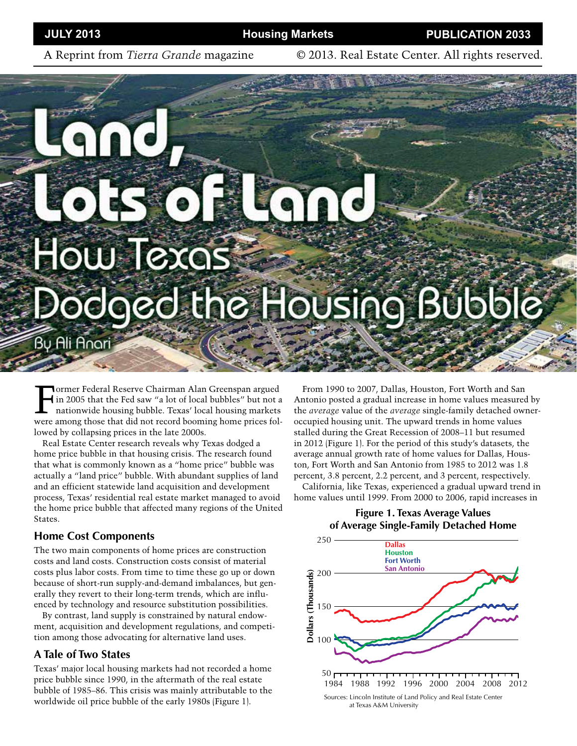A Reprint from *Tierra Grande* magazine © 2013. Real Estate Center. All rights reserved.

# How Texas odged the Housing Bubble

Bu Ali Anari

Former Federal Reserve Chairman Alan Greenspan argued<br>in 2005 that the Fed saw "a lot of local bubbles" but not a<br>nationwide housing bubble. Texas' local housing markets in 2005 that the Fed saw "a lot of local bubbles" but not a nationwide housing bubble. Texas' local housing markets were among those that did not record booming home prices followed by collapsing prices in the late 2000s.

Real Estate Center research reveals why Texas dodged a home price bubble in that housing crisis. The research found that what is commonly known as a "home price" bubble was actually a "land price" bubble. With abundant supplies of land and an efficient statewide land acquisition and development process, Texas' residential real estate market managed to avoid the home price bubble that affected many regions of the United States.

#### **Home Cost Components**

The two main components of home prices are construction costs and land costs. Construction costs consist of material costs plus labor costs. From time to time these go up or down because of short-run supply-and-demand imbalances, but generally they revert to their long-term trends, which are influenced by technology and resource substitution possibilities.

By contrast, land supply is constrained by natural endowment, acquisition and development regulations, and competition among those advocating for alternative land uses.

## **A Tale of Two States**

Texas' major local housing markets had not recorded a home price bubble since 1990, in the aftermath of the real estate bubble of 1985–86. This crisis was mainly attributable to the worldwide oil price bubble of the early 1980s (Figure 1).

From 1990 to 2007, Dallas, Houston, Fort Worth and San Antonio posted a gradual increase in home values measured by the *average* value of the *average* single-family detached owneroccupied housing unit. The upward trends in home values stalled during the Great Recession of 2008–11 but resumed in 2012 (Figure 1). For the period of this study's datasets, the average annual growth rate of home values for Dallas, Houston, Fort Worth and San Antonio from 1985 to 2012 was 1.8 percent, 3.8 percent, 2.2 percent, and 3 percent, respectively.

California, like Texas, experienced a gradual upward trend in home values until 1999. From 2000 to 2006, rapid increases in



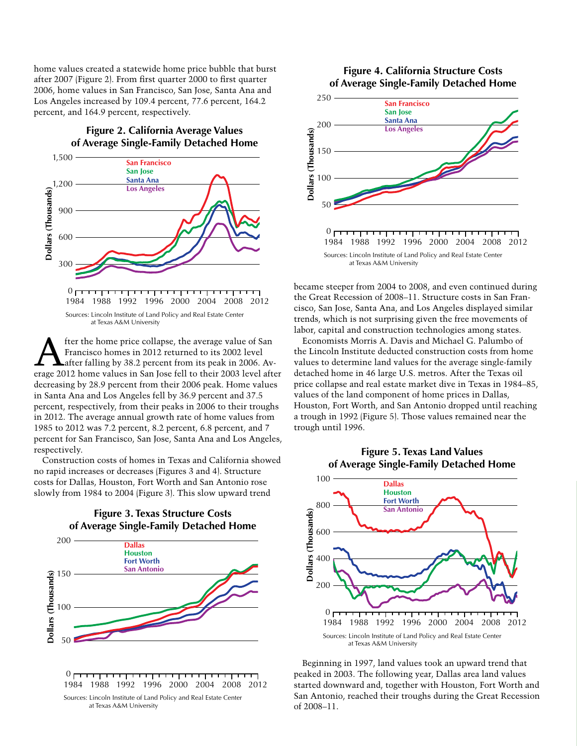home values created a statewide home price bubble that burst after 2007 (Figure 2). From first quarter 2000 to first quarter 2006, home values in San Francisco, San Jose, Santa Ana and Los Angeles increased by 109.4 percent, 77.6 percent, 164.2 percent, and 164.9 percent, respectively.

> **Figure 2. California Average Values of Average Single-Family Detached Home**



at Texas A&M University

fter the home price collapse, the average value of San Francisco homes in 2012 returned to its 2002 level after falling by 38.2 percent from its peak in 2006. Average 2012 home values in San Jose fell to their 2003 level after decreasing by 28.9 percent from their 2006 peak. Home values in Santa Ana and Los Angeles fell by 36.9 percent and 37.5 percent, respectively, from their peaks in 2006 to their troughs in 2012. The average annual growth rate of home values from 1985 to 2012 was 7.2 percent, 8.2 percent, 6.8 percent, and 7 percent for San Francisco, San Jose, Santa Ana and Los Angeles, respectively.

Construction costs of homes in Texas and California showed no rapid increases or decreases (Figures 3 and 4). Structure costs for Dallas, Houston, Fort Worth and San Antonio rose slowly from 1984 to 2004 (Figure 3). This slow upward trend

**Figure 3. Texas Structure Costs**



#### **Figure 4. California Structure Costs of Average Single-Family Detached Home**



1984 1988 1992 1996 2000 2004 2008 2012 Sources: Lincoln Institute of Land Policy and Real Estate Center at Texas A&M University

became steeper from 2004 to 2008, and even continued during the Great Recession of 2008–11. Structure costs in San Francisco, San Jose, Santa Ana, and Los Angeles displayed similar trends, which is not surprising given the free movements of labor, capital and construction technologies among states.

Economists Morris A. Davis and Michael G. Palumbo of the Lincoln Institute deducted construction costs from home values to determine land values for the average single-family detached home in 46 large U.S. metros. After the Texas oil price collapse and real estate market dive in Texas in 1984–85, values of the land component of home prices in Dallas, Houston, Fort Worth, and San Antonio dropped until reaching a trough in 1992 (Figure 5). Those values remained near the trough until 1996.

#### **Figure 5. Texas Land Values of Average Single-Family Detached Home**



Beginning in 1997, land values took an upward trend that peaked in 2003. The following year, Dallas area land values started downward and, together with Houston, Fort Worth and San Antonio, reached their troughs during the Great Recession of 2008–11.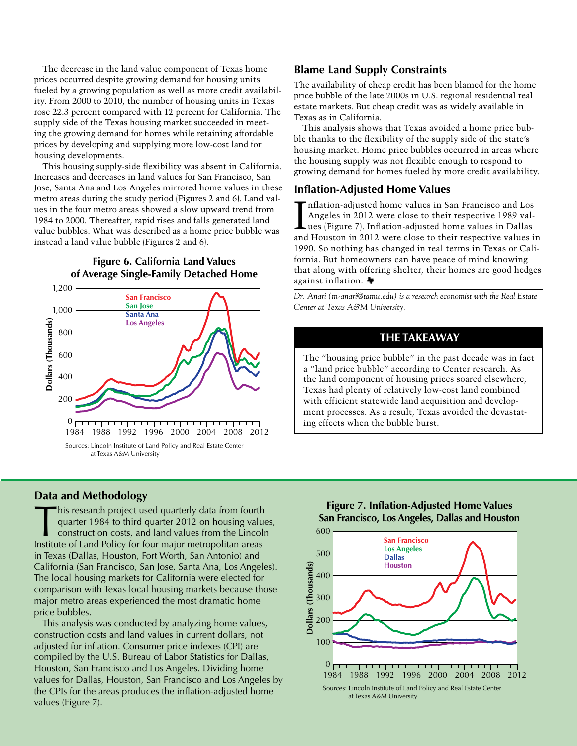The decrease in the land value component of Texas home prices occurred despite growing demand for housing units fueled by a growing population as well as more credit availability. From 2000 to 2010, the number of housing units in Texas rose 22.3 percent compared with 12 percent for California. The supply side of the Texas housing market succeeded in meeting the growing demand for homes while retaining affordable prices by developing and supplying more low-cost land for housing developments.

This housing supply-side flexibility was absent in California. Increases and decreases in land values for San Francisco, San Jose, Santa Ana and Los Angeles mirrored home values in these metro areas during the study period (Figures 2 and 6). Land values in the four metro areas showed a slow upward trend from 1984 to 2000. Thereafter, rapid rises and falls generated land value bubbles. What was described as a home price bubble was instead a land value bubble (Figures 2 and 6).

#### **Figure 6. California Land Values of Average Single-Family Detached Home**



at Texas A&M University

## **Data and Methodology**

This research project used quarterly data from fourth quarter 1984 to third quarter 2012 on housing values, construction costs, and land values from the Lincoln Institute of Land Policy for four major metropolitan areas in Texas (Dallas, Houston, Fort Worth, San Antonio) and California (San Francisco, San Jose, Santa Ana, Los Angeles). The local housing markets for California were elected for comparison with Texas local housing markets because those major metro areas experienced the most dramatic home price bubbles.

This analysis was conducted by analyzing home values, construction costs and land values in current dollars, not adjusted for inflation. Consumer price indexes (CPI) are compiled by the U.S. Bureau of Labor Statistics for Dallas, Houston, San Francisco and Los Angeles. Dividing home values for Dallas, Houston, San Francisco and Los Angeles by the CPIs for the areas produces the inflation-adjusted home values (Figure 7).

## **Blame Land Supply Constraints**

The availability of cheap credit has been blamed for the home price bubble of the late 2000s in U.S. regional residential real estate markets. But cheap credit was as widely available in Texas as in California.

This analysis shows that Texas avoided a home price bubble thanks to the flexibility of the supply side of the state's housing market. Home price bubbles occurred in areas where the housing supply was not flexible enough to respond to growing demand for homes fueled by more credit availability.

#### **Inflation-Adjusted Home Values**

Inflation-adjusted home values in San Francisco and Los<br>Angeles in 2012 were close to their respective 1989 values<br>(Figure 7). Inflation-adjusted home values in Dallas<br>and Houston in 2012 were close to their respective val nflation-adjusted home values in San Francisco and Los Angeles in 2012 were close to their respective 1989 values (Figure 7). Inflation-adjusted home values in Dallas 1990. So nothing has changed in real terms in Texas or California. But homeowners can have peace of mind knowing that along with offering shelter, their homes are good hedges against inflation.

*Dr. Anari (m-anari@tamu.edu) is a research economist with the Real Estate Center at Texas A&M University.* 

# **THE TAKEAWAY**

The "housing price bubble" in the past decade was in fact a "land price bubble" according to Center research. As the land component of housing prices soared elsewhere, Texas had plenty of relatively low-cost land combined with efficient statewide land acquisition and development processes. As a result, Texas avoided the devastating effects when the bubble burst.

**Figure 7. Inflation-Adjusted Home Values San Francisco, Los Angeles, Dallas and Houston**

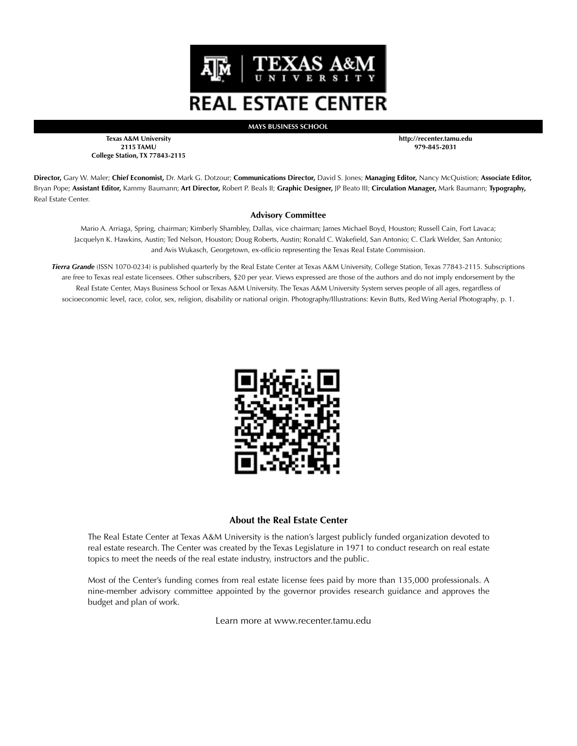

**MAYS BUSINESS SCHOOL**

**Texas A&M University 2115 TAMU College Station, TX 77843-2115** **http://recenter.tamu.edu 979-845-2031**

**Director,** Gary W. Maler; **Chief Economist,** Dr. Mark G. Dotzour; **Communications Director,** David S. Jones; **Managing Editor,** Nancy McQuistion; **Associate Editor,**  Bryan Pope; **Assistant Editor,** Kammy Baumann; **Art Director,** Robert P. Beals II; **Graphic Designer,** JP Beato III; **Circulation Manager,** Mark Baumann; **Typography,** Real Estate Center.

#### **Advisory Committee**

Mario A. Arriaga, Spring, chairman; Kimberly Shambley, Dallas, vice chairman; James Michael Boyd, Houston; Russell Cain, Fort Lavaca; Jacquelyn K. Hawkins, Austin; Ted Nelson, Houston; Doug Roberts, Austin; Ronald C. Wakefield, San Antonio; C. Clark Welder, San Antonio; and Avis Wukasch, Georgetown, ex-officio representing the Texas Real Estate Commission.

*Tierra Grande* (ISSN 1070-0234) is published quarterly by the Real Estate Center at Texas A&M University, College Station, Texas 77843-2115. Subscriptions are free to Texas real estate licensees. Other subscribers, \$20 per year. Views expressed are those of the authors and do not imply endorsement by the Real Estate Center, Mays Business School or Texas A&M University. The Texas A&M University System serves people of all ages, regardless of socioeconomic level, race, color, sex, religion, disability or national origin. Photography/Illustrations: Kevin Butts, Red Wing Aerial Photography, p. 1.



#### **About the Real Estate Center**

The Real Estate Center at Texas A&M University is the nation's largest publicly funded organization devoted to real estate research. The Center was created by the Texas Legislature in 1971 to conduct research on real estate topics to meet the needs of the real estate industry, instructors and the public.

Most of the Center's funding comes from real estate license fees paid by more than 135,000 professionals. A nine-member advisory committee appointed by the governor provides research guidance and approves the budget and plan of work.

Learn more at www.recenter.tamu.edu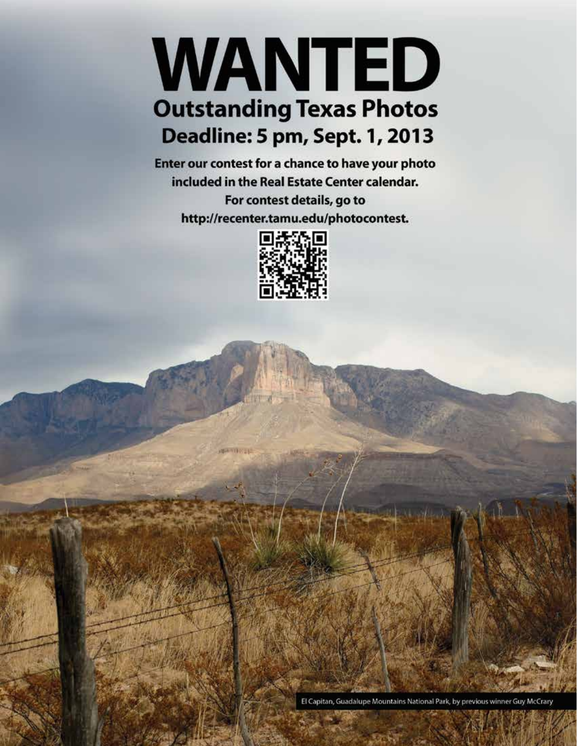# WANTED **Outstanding Texas Photos Deadline: 5 pm, Sept. 1, 2013**

Enter our contest for a chance to have your photo included in the Real Estate Center calendar. For contest details, go to http://recenter.tamu.edu/photocontest.



**MARINEZIA** 

El Capitan, Guadalupe Mountains National Park, by previous winner Guy McCrary